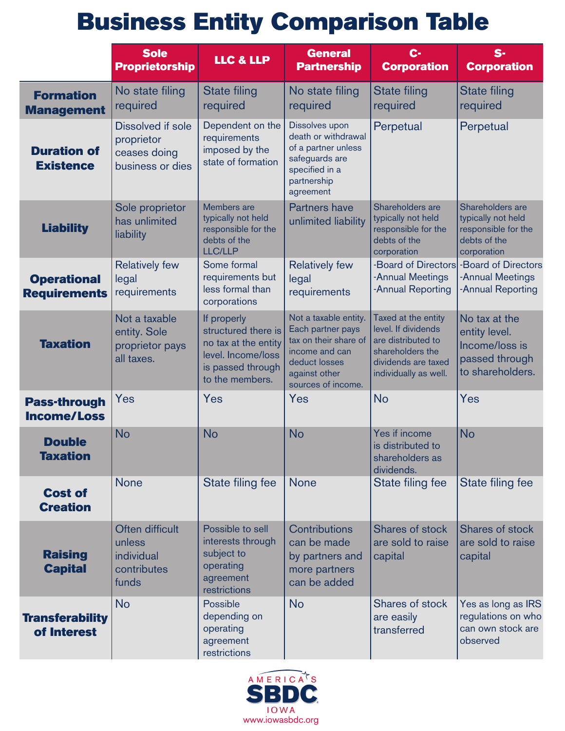## Business Entity Comparison Table

|                                           | <b>Sole</b><br><b>Proprietorship</b>                                   | <b>LLC &amp; LLP</b>                                                                                                     | <b>General</b><br><b>Partnership</b>                                                                                                          | $\mathbf{C}$ -<br><b>Corporation</b>                                                                                                 | $S-$<br><b>Corporation</b>                                                                   |
|-------------------------------------------|------------------------------------------------------------------------|--------------------------------------------------------------------------------------------------------------------------|-----------------------------------------------------------------------------------------------------------------------------------------------|--------------------------------------------------------------------------------------------------------------------------------------|----------------------------------------------------------------------------------------------|
| <b>Formation</b><br><b>Management</b>     | No state filing<br>required                                            | <b>State filing</b><br>required                                                                                          | No state filing<br>required                                                                                                                   | <b>State filing</b><br>required                                                                                                      | <b>State filing</b><br>required                                                              |
| <b>Duration of</b><br><b>Existence</b>    | Dissolved if sole<br>proprietor<br>ceases doing<br>business or dies    | Dependent on the<br>requirements<br>imposed by the<br>state of formation                                                 | Dissolves upon<br>death or withdrawal<br>of a partner unless<br>safeguards are<br>specified in a<br>partnership<br>agreement                  | Perpetual                                                                                                                            | Perpetual                                                                                    |
| <b>Liability</b>                          | Sole proprietor<br>has unlimited<br>liability                          | Members are<br>typically not held<br>responsible for the<br>debts of the<br><b>LLC/LLP</b>                               | <b>Partners have</b><br>unlimited liability                                                                                                   | Shareholders are<br>typically not held<br>responsible for the<br>debts of the<br>corporation                                         | Shareholders are<br>typically not held<br>responsible for the<br>debts of the<br>corporation |
| <b>Operational</b><br><b>Requirements</b> | <b>Relatively few</b><br>legal<br>requirements                         | Some formal<br>requirements but<br>less formal than<br>corporations                                                      | <b>Relatively few</b><br>legal<br>requirements                                                                                                | <b>Board of Directors</b><br>-Annual Meetings<br>-Annual Reporting                                                                   | -Board of Directors<br>-Annual Meetings<br>-Annual Reporting                                 |
| <b>Taxation</b>                           | Not a taxable<br>entity. Sole<br>proprietor pays<br>all taxes.         | If properly<br>structured there is<br>no tax at the entity<br>level. Income/loss<br>is passed through<br>to the members. | Not a taxable entity.<br>Each partner pays<br>tax on their share of<br>income and can<br>deduct losses<br>against other<br>sources of income. | Taxed at the entity<br>level. If dividends<br>are distributed to<br>shareholders the<br>dividends are taxed<br>individually as well. | No tax at the<br>entity level.<br>Income/loss is<br>passed through<br>to shareholders.       |
| <b>Pass-through</b><br><b>Income/Loss</b> | Yes                                                                    | Yes                                                                                                                      | Yes                                                                                                                                           | <b>No</b>                                                                                                                            | Yes                                                                                          |
| <b>Double</b><br><b>Taxation</b>          | <b>No</b>                                                              | <b>No</b>                                                                                                                | <b>No</b>                                                                                                                                     | Yes if income<br>is distributed to<br>shareholders as<br>dividends.                                                                  | <b>No</b>                                                                                    |
| <b>Cost of</b><br><b>Creation</b>         | <b>None</b>                                                            | State filing fee                                                                                                         | <b>None</b>                                                                                                                                   | State filing fee                                                                                                                     | State filing fee                                                                             |
| <b>Raising</b><br><b>Capital</b>          | <b>Often difficult</b><br>unless<br>individual<br>contributes<br>funds | Possible to sell<br>interests through<br>subject to<br>operating<br>agreement<br>restrictions                            | Contributions<br>can be made<br>by partners and<br>more partners<br>can be added                                                              | <b>Shares of stock</b><br>are sold to raise<br>capital                                                                               | Shares of stock<br>are sold to raise<br>capital                                              |
| <b>Transferability</b><br>of Interest     | <b>No</b>                                                              | Possible<br>depending on<br>operating<br>agreement<br>restrictions                                                       | <b>No</b>                                                                                                                                     | Shares of stock<br>are easily<br>transferred                                                                                         | Yes as long as IRS<br>regulations on who<br>can own stock are<br>observed                    |